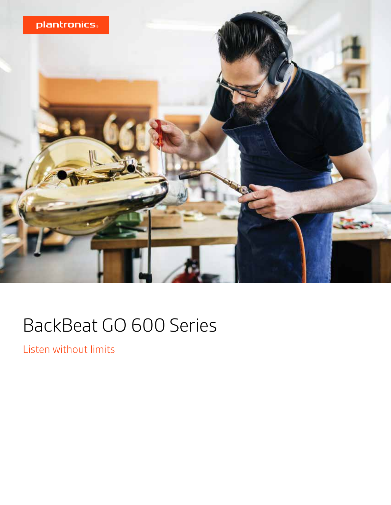

# BackBeat GO 600 Series

Listen without limits